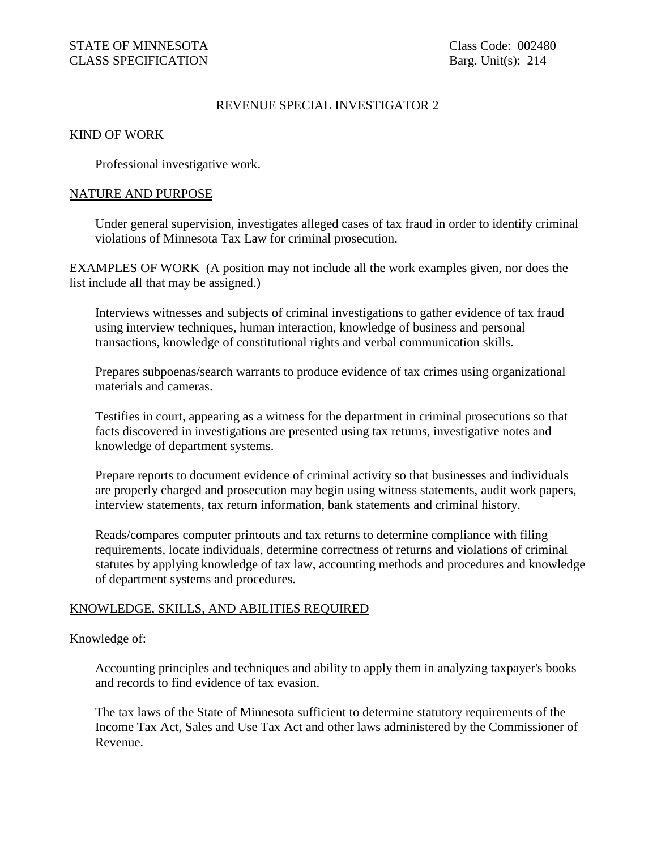# REVENUE SPECIAL INVESTIGATOR 2

### KIND OF WORK

Professional investigative work.

### NATURE AND PURPOSE

Under general supervision, investigates alleged cases of tax fraud in order to identify criminal violations of Minnesota Tax Law for criminal prosecution.

EXAMPLES OF WORK (A position may not include all the work examples given, nor does the list include all that may be assigned.)

Interviews witnesses and subjects of criminal investigations to gather evidence of tax fraud using interview techniques, human interaction, knowledge of business and personal transactions, knowledge of constitutional rights and verbal communication skills.

Prepares subpoenas/search warrants to produce evidence of tax crimes using organizational materials and cameras.

Testifies in court, appearing as a witness for the department in criminal prosecutions so that facts discovered in investigations are presented using tax returns, investigative notes and knowledge of department systems.

Prepare reports to document evidence of criminal activity so that businesses and individuals are properly charged and prosecution may begin using witness statements, audit work papers, interview statements, tax return information, bank statements and criminal history.

Reads/compares computer printouts and tax returns to determine compliance with filing requirements, locate individuals, determine correctness of returns and violations of criminal statutes by applying knowledge of tax law, accounting methods and procedures and knowledge of department systems and procedures.

## KNOWLEDGE, SKILLS, AND ABILITIES REQUIRED

#### Knowledge of:

Accounting principles and techniques and ability to apply them in analyzing taxpayer's books and records to find evidence of tax evasion.

The tax laws of the State of Minnesota sufficient to determine statutory requirements of the Income Tax Act, Sales and Use Tax Act and other laws administered by the Commissioner of Revenue.